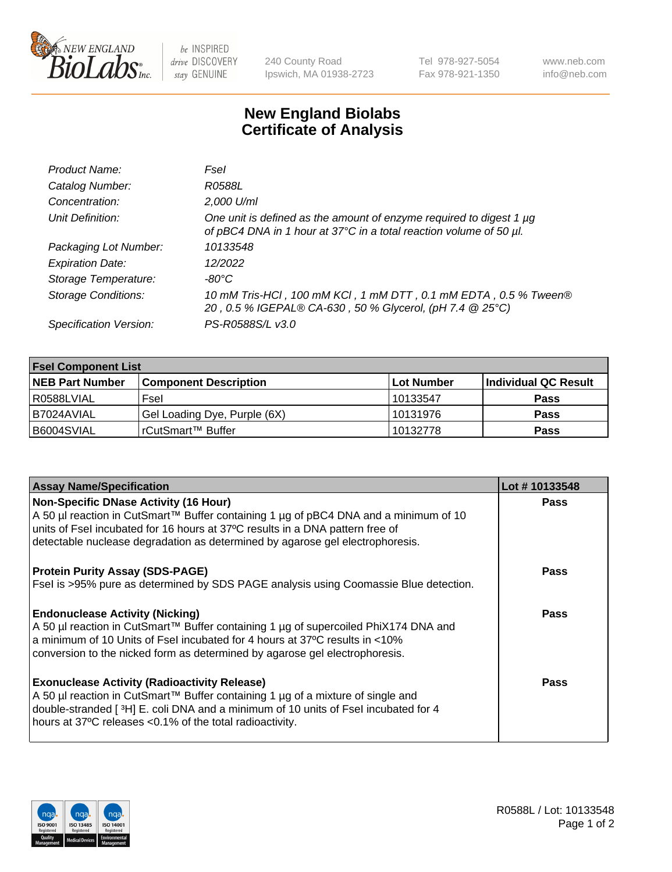

be INSPIRED drive DISCOVERY stay GENUINE

240 County Road Ipswich, MA 01938-2723 Tel 978-927-5054 Fax 978-921-1350 www.neb.com info@neb.com

## **New England Biolabs Certificate of Analysis**

| Product Name:              | Fsel                                                                                                                                      |
|----------------------------|-------------------------------------------------------------------------------------------------------------------------------------------|
| Catalog Number:            | R0588L                                                                                                                                    |
| Concentration:             | 2,000 U/ml                                                                                                                                |
| Unit Definition:           | One unit is defined as the amount of enzyme required to digest 1 µg<br>of pBC4 DNA in 1 hour at 37°C in a total reaction volume of 50 µl. |
| Packaging Lot Number:      | 10133548                                                                                                                                  |
| <b>Expiration Date:</b>    | 12/2022                                                                                                                                   |
| Storage Temperature:       | -80°C                                                                                                                                     |
| <b>Storage Conditions:</b> | 10 mM Tris-HCl, 100 mM KCl, 1 mM DTT, 0.1 mM EDTA, 0.5 % Tween®<br>20, 0.5 % IGEPAL® CA-630, 50 % Glycerol, (pH 7.4 @ 25°C)               |
| Specification Version:     | PS-R0588S/L v3.0                                                                                                                          |

| <b>Fsel Component List</b> |                              |            |                      |  |  |
|----------------------------|------------------------------|------------|----------------------|--|--|
| <b>NEB Part Number</b>     | <b>Component Description</b> | Lot Number | Individual QC Result |  |  |
| R0588LVIAL                 | Fsel                         | 10133547   | <b>Pass</b>          |  |  |
| I B7024AVIAL               | Gel Loading Dye, Purple (6X) | 10131976   | <b>Pass</b>          |  |  |
| B6004SVIAL                 | rCutSmart™ Buffer            | 10132778   | <b>Pass</b>          |  |  |

| <b>Assay Name/Specification</b>                                                                                                                                                                                                                                                          | Lot #10133548 |
|------------------------------------------------------------------------------------------------------------------------------------------------------------------------------------------------------------------------------------------------------------------------------------------|---------------|
| Non-Specific DNase Activity (16 Hour)<br>A 50 µl reaction in CutSmart™ Buffer containing 1 µg of pBC4 DNA and a minimum of 10<br>units of Fsel incubated for 16 hours at 37°C results in a DNA pattern free of                                                                           | <b>Pass</b>   |
| detectable nuclease degradation as determined by agarose gel electrophoresis.                                                                                                                                                                                                            |               |
| <b>Protein Purity Assay (SDS-PAGE)</b>                                                                                                                                                                                                                                                   | Pass          |
| Fsel is >95% pure as determined by SDS PAGE analysis using Coomassie Blue detection.                                                                                                                                                                                                     |               |
| <b>Endonuclease Activity (Nicking)</b>                                                                                                                                                                                                                                                   | Pass          |
| A 50 µl reaction in CutSmart™ Buffer containing 1 µg of supercoiled PhiX174 DNA and<br>a minimum of 10 Units of Fsel incubated for 4 hours at 37°C results in <10%<br>conversion to the nicked form as determined by agarose gel electrophoresis.                                        |               |
| <b>Exonuclease Activity (Radioactivity Release)</b><br>A 50 µl reaction in CutSmart™ Buffer containing 1 µg of a mixture of single and<br>double-stranded [3H] E. coli DNA and a minimum of 10 units of Fsel incubated for 4<br>hours at 37°C releases <0.1% of the total radioactivity. | Pass          |